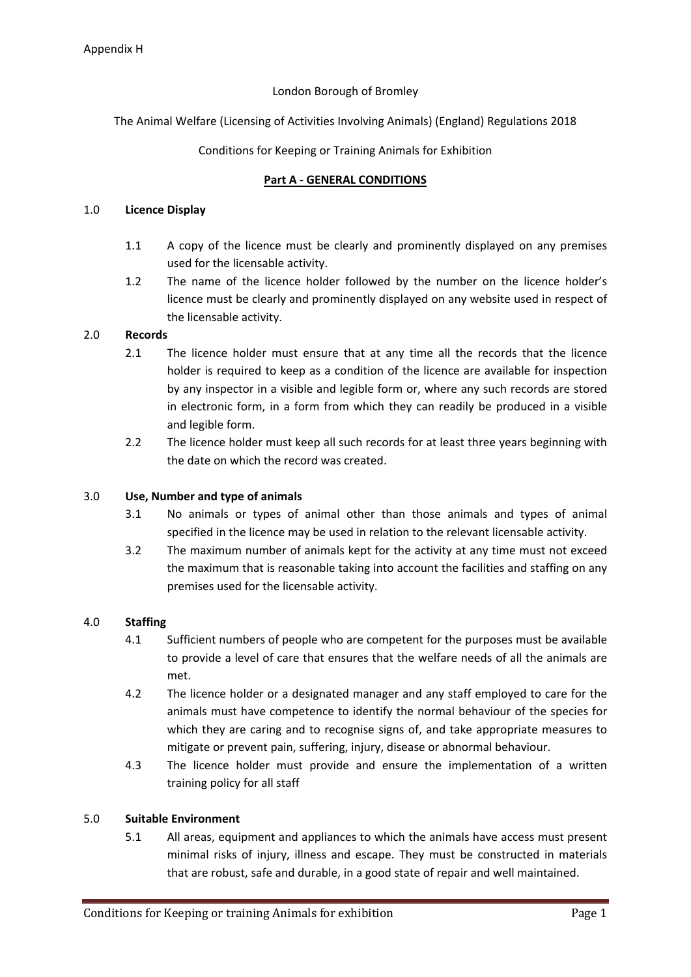## London Borough of Bromley

The Animal Welfare (Licensing of Activities Involving Animals) (England) Regulations 2018

### Conditions for Keeping or Training Animals for Exhibition

### **Part A - GENERAL CONDITIONS**

### 1.0 **Licence Display**

- 1.1 A copy of the licence must be clearly and prominently displayed on any premises used for the licensable activity.
- 1.2 The name of the licence holder followed by the number on the licence holder's licence must be clearly and prominently displayed on any website used in respect of the licensable activity.

### 2.0 **Records**

- 2.1 The licence holder must ensure that at any time all the records that the licence holder is required to keep as a condition of the licence are available for inspection by any inspector in a visible and legible form or, where any such records are stored in electronic form, in a form from which they can readily be produced in a visible and legible form.
- 2.2 The licence holder must keep all such records for at least three years beginning with the date on which the record was created.

### 3.0 **Use, Number and type of animals**

- 3.1 No animals or types of animal other than those animals and types of animal specified in the licence may be used in relation to the relevant licensable activity.
- 3.2 The maximum number of animals kept for the activity at any time must not exceed the maximum that is reasonable taking into account the facilities and staffing on any premises used for the licensable activity.

### 4.0 **Staffing**

- 4.1 Sufficient numbers of people who are competent for the purposes must be available to provide a level of care that ensures that the welfare needs of all the animals are met.
- 4.2 The licence holder or a designated manager and any staff employed to care for the animals must have competence to identify the normal behaviour of the species for which they are caring and to recognise signs of, and take appropriate measures to mitigate or prevent pain, suffering, injury, disease or abnormal behaviour.
- 4.3 The licence holder must provide and ensure the implementation of a written training policy for all staff

### 5.0 **Suitable Environment**

5.1 All areas, equipment and appliances to which the animals have access must present minimal risks of injury, illness and escape. They must be constructed in materials that are robust, safe and durable, in a good state of repair and well maintained.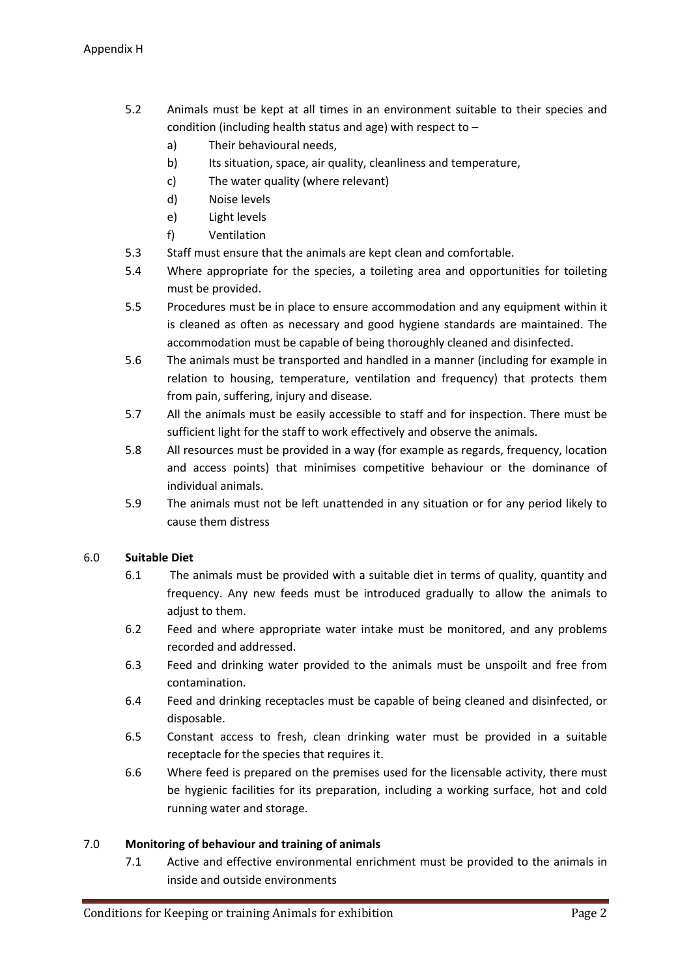- 5.2 Animals must be kept at all times in an environment suitable to their species and condition (including health status and age) with respect to –
	- a) Their behavioural needs,
	- b) Its situation, space, air quality, cleanliness and temperature,
	- c) The water quality (where relevant)
	- d) Noise levels
	- e) Light levels
	- f) Ventilation
- 5.3 Staff must ensure that the animals are kept clean and comfortable.
- 5.4 Where appropriate for the species, a toileting area and opportunities for toileting must be provided.
- 5.5 Procedures must be in place to ensure accommodation and any equipment within it is cleaned as often as necessary and good hygiene standards are maintained. The accommodation must be capable of being thoroughly cleaned and disinfected.
- 5.6 The animals must be transported and handled in a manner (including for example in relation to housing, temperature, ventilation and frequency) that protects them from pain, suffering, injury and disease.
- 5.7 All the animals must be easily accessible to staff and for inspection. There must be sufficient light for the staff to work effectively and observe the animals.
- 5.8 All resources must be provided in a way (for example as regards, frequency, location and access points) that minimises competitive behaviour or the dominance of individual animals.
- 5.9 The animals must not be left unattended in any situation or for any period likely to cause them distress

# 6.0 **Suitable Diet**

- 6.1 The animals must be provided with a suitable diet in terms of quality, quantity and frequency. Any new feeds must be introduced gradually to allow the animals to adjust to them.
- 6.2 Feed and where appropriate water intake must be monitored, and any problems recorded and addressed.
- 6.3 Feed and drinking water provided to the animals must be unspoilt and free from contamination.
- 6.4 Feed and drinking receptacles must be capable of being cleaned and disinfected, or disposable.
- 6.5 Constant access to fresh, clean drinking water must be provided in a suitable receptacle for the species that requires it.
- 6.6 Where feed is prepared on the premises used for the licensable activity, there must be hygienic facilities for its preparation, including a working surface, hot and cold running water and storage.

# 7.0 **Monitoring of behaviour and training of animals**

7.1 Active and effective environmental enrichment must be provided to the animals in inside and outside environments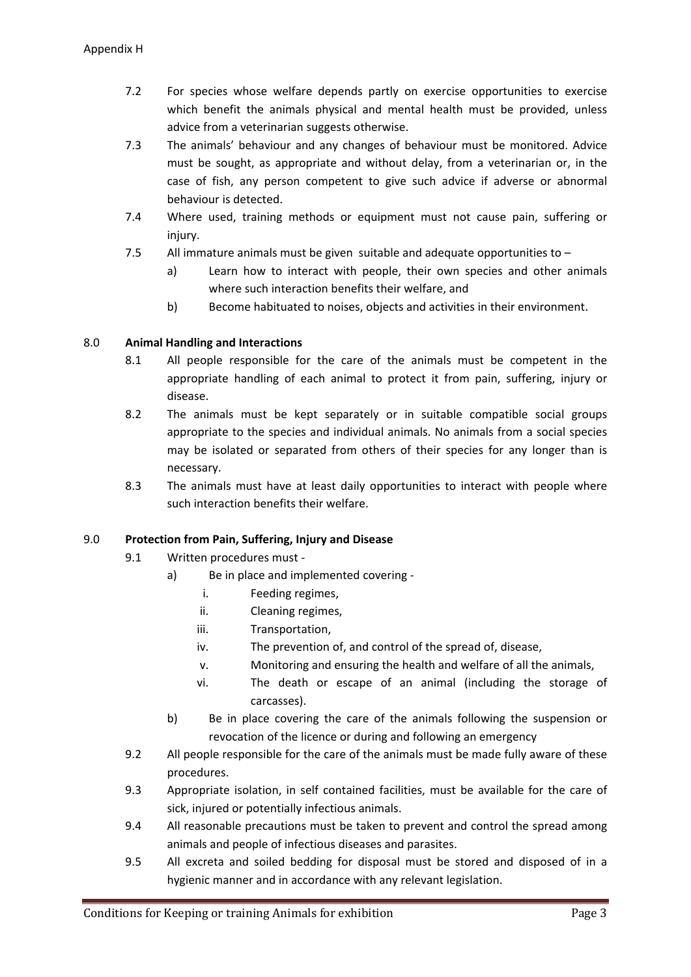- 7.2 For species whose welfare depends partly on exercise opportunities to exercise which benefit the animals physical and mental health must be provided, unless advice from a veterinarian suggests otherwise.
- 7.3 The animals' behaviour and any changes of behaviour must be monitored. Advice must be sought, as appropriate and without delay, from a veterinarian or, in the case of fish, any person competent to give such advice if adverse or abnormal behaviour is detected.
- 7.4 Where used, training methods or equipment must not cause pain, suffering or injury.
- 7.5 All immature animals must be given suitable and adequate opportunities to
	- a) Learn how to interact with people, their own species and other animals where such interaction benefits their welfare, and
	- b) Become habituated to noises, objects and activities in their environment.

# 8.0 **Animal Handling and Interactions**

- 8.1 All people responsible for the care of the animals must be competent in the appropriate handling of each animal to protect it from pain, suffering, injury or disease.
- 8.2 The animals must be kept separately or in suitable compatible social groups appropriate to the species and individual animals. No animals from a social species may be isolated or separated from others of their species for any longer than is necessary.
- 8.3 The animals must have at least daily opportunities to interact with people where such interaction benefits their welfare.

# 9.0 **Protection from Pain, Suffering, Injury and Disease**

- 9.1 Written procedures must
	- a) Be in place and implemented covering
		- i. Feeding regimes,
		- ii. Cleaning regimes,
		- iii. Transportation,
		- iv. The prevention of, and control of the spread of, disease,
		- v. Monitoring and ensuring the health and welfare of all the animals,
		- vi. The death or escape of an animal (including the storage of carcasses).
	- b) Be in place covering the care of the animals following the suspension or revocation of the licence or during and following an emergency
- 9.2 All people responsible for the care of the animals must be made fully aware of these procedures.
- 9.3 Appropriate isolation, in self contained facilities, must be available for the care of sick, injured or potentially infectious animals.
- 9.4 All reasonable precautions must be taken to prevent and control the spread among animals and people of infectious diseases and parasites.
- 9.5 All excreta and soiled bedding for disposal must be stored and disposed of in a hygienic manner and in accordance with any relevant legislation.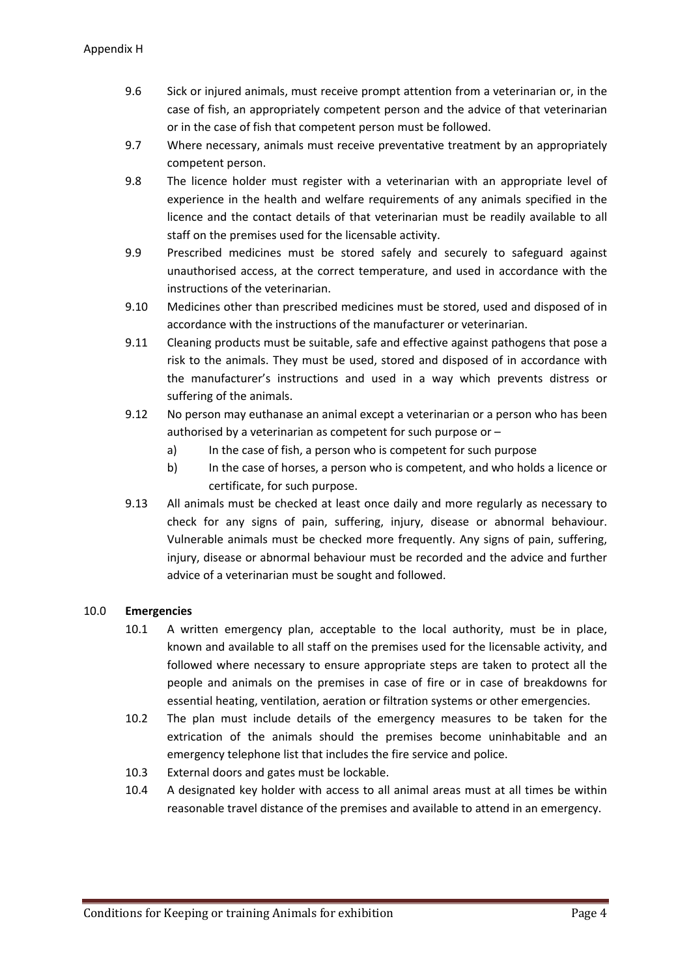- 9.6 Sick or injured animals, must receive prompt attention from a veterinarian or, in the case of fish, an appropriately competent person and the advice of that veterinarian or in the case of fish that competent person must be followed.
- 9.7 Where necessary, animals must receive preventative treatment by an appropriately competent person.
- 9.8 The licence holder must register with a veterinarian with an appropriate level of experience in the health and welfare requirements of any animals specified in the licence and the contact details of that veterinarian must be readily available to all staff on the premises used for the licensable activity.
- 9.9 Prescribed medicines must be stored safely and securely to safeguard against unauthorised access, at the correct temperature, and used in accordance with the instructions of the veterinarian.
- 9.10 Medicines other than prescribed medicines must be stored, used and disposed of in accordance with the instructions of the manufacturer or veterinarian.
- 9.11 Cleaning products must be suitable, safe and effective against pathogens that pose a risk to the animals. They must be used, stored and disposed of in accordance with the manufacturer's instructions and used in a way which prevents distress or suffering of the animals.
- 9.12 No person may euthanase an animal except a veterinarian or a person who has been authorised by a veterinarian as competent for such purpose or –
	- a) In the case of fish, a person who is competent for such purpose
	- b) In the case of horses, a person who is competent, and who holds a licence or certificate, for such purpose.
- 9.13 All animals must be checked at least once daily and more regularly as necessary to check for any signs of pain, suffering, injury, disease or abnormal behaviour. Vulnerable animals must be checked more frequently. Any signs of pain, suffering, injury, disease or abnormal behaviour must be recorded and the advice and further advice of a veterinarian must be sought and followed.

# 10.0 **Emergencies**

- 10.1 A written emergency plan, acceptable to the local authority, must be in place, known and available to all staff on the premises used for the licensable activity, and followed where necessary to ensure appropriate steps are taken to protect all the people and animals on the premises in case of fire or in case of breakdowns for essential heating, ventilation, aeration or filtration systems or other emergencies.
- 10.2 The plan must include details of the emergency measures to be taken for the extrication of the animals should the premises become uninhabitable and an emergency telephone list that includes the fire service and police.
- 10.3 External doors and gates must be lockable.
- 10.4 A designated key holder with access to all animal areas must at all times be within reasonable travel distance of the premises and available to attend in an emergency.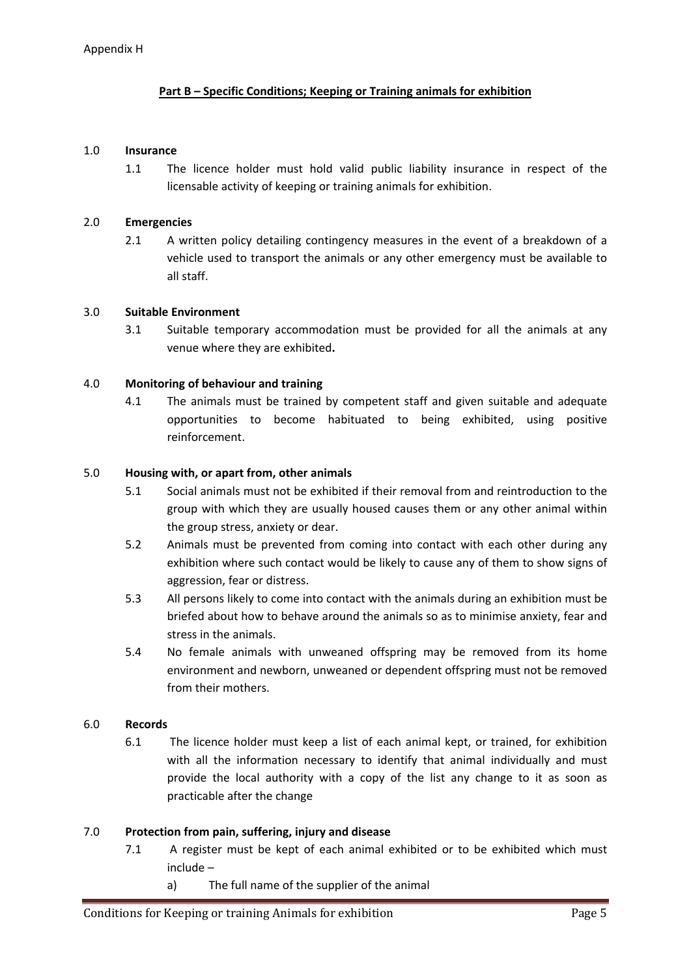## **Part B – Specific Conditions; Keeping or Training animals for exhibition**

#### 1.0 **Insurance**

1.1 The licence holder must hold valid public liability insurance in respect of the licensable activity of keeping or training animals for exhibition.

### 2.0 **Emergencies**

2.1 A written policy detailing contingency measures in the event of a breakdown of a vehicle used to transport the animals or any other emergency must be available to all staff.

#### 3.0 **Suitable Environment**

3.1 Suitable temporary accommodation must be provided for all the animals at any venue where they are exhibited**.**

### 4.0 **Monitoring of behaviour and training**

4.1 The animals must be trained by competent staff and given suitable and adequate opportunities to become habituated to being exhibited, using positive reinforcement.

#### 5.0 **Housing with, or apart from, other animals**

- 5.1 Social animals must not be exhibited if their removal from and reintroduction to the group with which they are usually housed causes them or any other animal within the group stress, anxiety or dear.
- 5.2 Animals must be prevented from coming into contact with each other during any exhibition where such contact would be likely to cause any of them to show signs of aggression, fear or distress.
- 5.3 All persons likely to come into contact with the animals during an exhibition must be briefed about how to behave around the animals so as to minimise anxiety, fear and stress in the animals.
- 5.4 No female animals with unweaned offspring may be removed from its home environment and newborn, unweaned or dependent offspring must not be removed from their mothers.

### 6.0 **Records**

6.1 The licence holder must keep a list of each animal kept, or trained, for exhibition with all the information necessary to identify that animal individually and must provide the local authority with a copy of the list any change to it as soon as practicable after the change

### 7.0 **Protection from pain, suffering, injury and disease**

- 7.1 A register must be kept of each animal exhibited or to be exhibited which must include –
	- a) The full name of the supplier of the animal